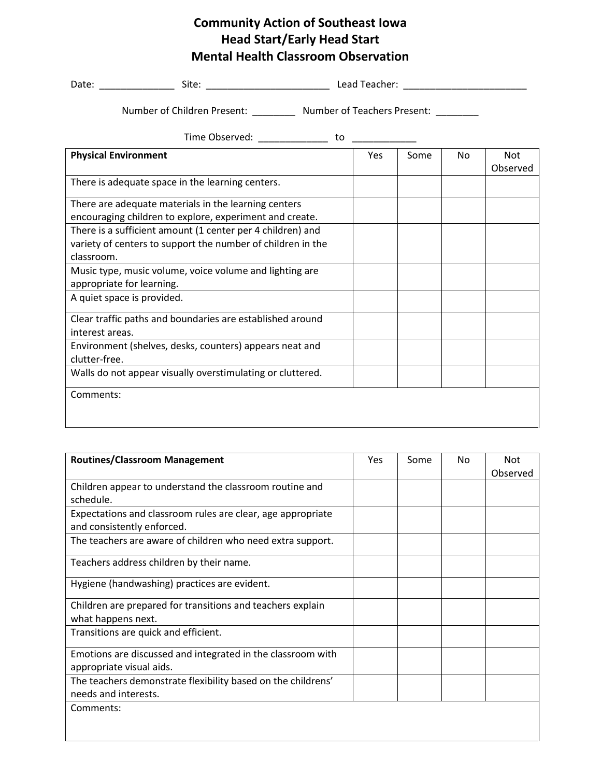## **Community Action of Southeast Iowa Head Start/Early Head Start Mental Health Classroom Observation**

Date: \_\_\_\_\_\_\_\_\_\_\_\_\_\_ Site: \_\_\_\_\_\_\_\_\_\_\_\_\_\_\_\_\_\_\_\_\_\_\_ Lead Teacher: \_\_\_\_\_\_\_\_\_\_\_\_\_\_\_\_\_\_\_\_\_\_\_

Number of Children Present: \_\_\_\_\_\_\_\_\_\_ Number of Teachers Present: \_\_\_\_\_\_\_\_

Time Observed: \_\_\_\_\_\_\_\_\_\_\_\_\_\_\_\_ to \_\_\_\_\_\_\_\_\_\_\_\_\_\_

| <b>Physical Environment</b>                                 | <b>Yes</b> | Some | Nο | <b>Not</b> |
|-------------------------------------------------------------|------------|------|----|------------|
|                                                             |            |      |    | Observed   |
| There is adequate space in the learning centers.            |            |      |    |            |
| There are adequate materials in the learning centers        |            |      |    |            |
| encouraging children to explore, experiment and create.     |            |      |    |            |
| There is a sufficient amount (1 center per 4 children) and  |            |      |    |            |
| variety of centers to support the number of children in the |            |      |    |            |
| classroom.                                                  |            |      |    |            |
| Music type, music volume, voice volume and lighting are     |            |      |    |            |
| appropriate for learning.                                   |            |      |    |            |
| A quiet space is provided.                                  |            |      |    |            |
| Clear traffic paths and boundaries are established around   |            |      |    |            |
| interest areas.                                             |            |      |    |            |
| Environment (shelves, desks, counters) appears neat and     |            |      |    |            |
| clutter-free.                                               |            |      |    |            |
| Walls do not appear visually overstimulating or cluttered.  |            |      |    |            |
| Comments:                                                   |            |      |    |            |
|                                                             |            |      |    |            |
|                                                             |            |      |    |            |

| <b>Routines/Classroom Management</b>                         | Yes | Some | No | <b>Not</b> |
|--------------------------------------------------------------|-----|------|----|------------|
|                                                              |     |      |    | Observed   |
| Children appear to understand the classroom routine and      |     |      |    |            |
| schedule.                                                    |     |      |    |            |
| Expectations and classroom rules are clear, age appropriate  |     |      |    |            |
| and consistently enforced.                                   |     |      |    |            |
| The teachers are aware of children who need extra support.   |     |      |    |            |
| Teachers address children by their name.                     |     |      |    |            |
| Hygiene (handwashing) practices are evident.                 |     |      |    |            |
| Children are prepared for transitions and teachers explain   |     |      |    |            |
| what happens next.                                           |     |      |    |            |
| Transitions are quick and efficient.                         |     |      |    |            |
| Emotions are discussed and integrated in the classroom with  |     |      |    |            |
| appropriate visual aids.                                     |     |      |    |            |
| The teachers demonstrate flexibility based on the childrens' |     |      |    |            |
| needs and interests.                                         |     |      |    |            |
| Comments:                                                    |     |      |    |            |
|                                                              |     |      |    |            |
|                                                              |     |      |    |            |